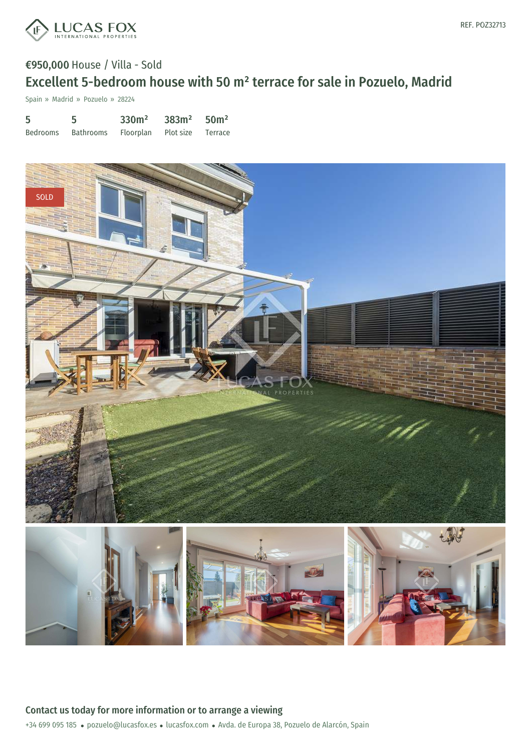

Spain » Madrid » Pozuelo » 28224

| 5        | 5                                     | $330m^2$ $383m^2$ $50m^2$ |  |
|----------|---------------------------------------|---------------------------|--|
| Bedrooms | Bathrooms Floorplan Plot size Terrace |                           |  |

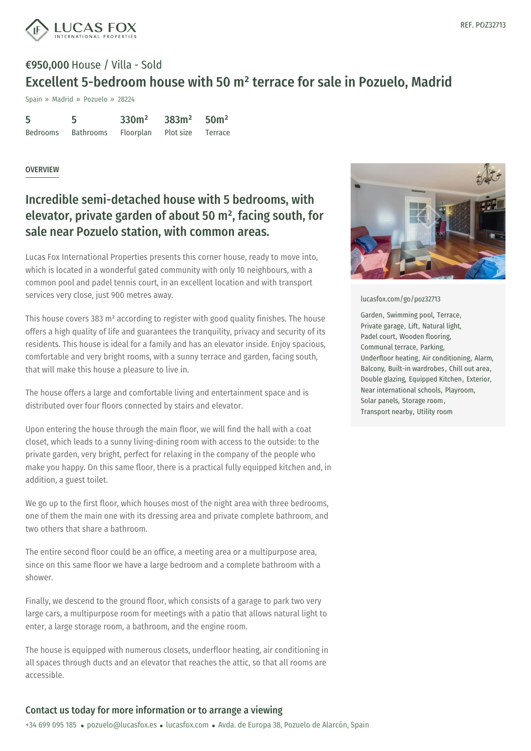

Spain » Madrid » Pozuelo » 28224

| 5        | 5         | 330 <sup>m²</sup>           | $383m^2$ 50m <sup>2</sup> |  |
|----------|-----------|-----------------------------|---------------------------|--|
| Bedrooms | Bathrooms | Floorplan Plot-size Terrace |                           |  |

#### **OVERVIEW**

### Incredible semi-detached house with 5 bedrooms, with elevator, private garden of about 50 m² , facing south, for sale near Pozuelo station, with common areas.

Lucas Fox International Properties presents this corner house, ready to move into, which is located in a wonderful gated community with only 10 neighbours, with a common pool and padel tennis court, in an excellent location and with transport services very close, just 900 metres away.

This house covers 383 m² according to register with good quality finishes. The house offers a high quality of life and guarantees the tranquility, privacy and security of its residents. This house is ideal for a family and has an elevator inside. Enjoy spacious, comfortable and very bright rooms, with a sunny terrace and garden, facing south, that will make this house a pleasure to live in.

The house offers a large and comfortable living and entertainment space and is distributed over four floors connected by stairs and elevator.

Upon entering the house through the main floor, we will find the hall with a coat closet, which leads to a sunny living-dining room with access to the outside: to the private garden, very bright, perfect for relaxing in the company of the people who make you happy. On this same floor, there is a practical fully equipped kitchen and, in addition, a guest toilet.

We go up to the first floor, which houses most of the night area with three bedrooms, one of them the main one with its dressing area and private complete bathroom, and two others that share a bathroom.

The entire second floor could be an office, a meeting area or a multipurpose area, since on this same [floor](mailto:pozuelo@lucasfox.es) we have a large [bedroom](https://www.lucasfox.com) and a complete bathroom with a shower.

Finally, we descend to the ground floor, which consists of a garage to park two very large cars, a multipurpose room for meetings with a patio that allows natural light to enter, a large storage room, a bathroom, and the engine room.

The house is equipped with numerous closets, underfloor heating, air conditioning in all spaces through ducts and an elevator that reaches the attic, so that all rooms are accessible.



#### [lucasfox.com/go/poz32713](https://www.lucasfox.com/go/poz32713)

Garden, Swimming pool, Terrace, Private garage, Lift, Natural light, Padel court, Wooden flooring, Communal terrace, Parking, Underfloor heating, Air conditioning, Alarm, Balcony, Built-in wardrobes, Chill out area, Double glazing, Equipped Kitchen, Exterior, Near international schools, Playroom, Solar panels, Storage room, Transport nearby, Utility room

### Contact us today for more information or to arrange a viewing

+34 699 095 185 · pozuelo@lucasfox.es · lucasfox.com · Avda. de Europa 38, Pozuelo de Alarcón, Spain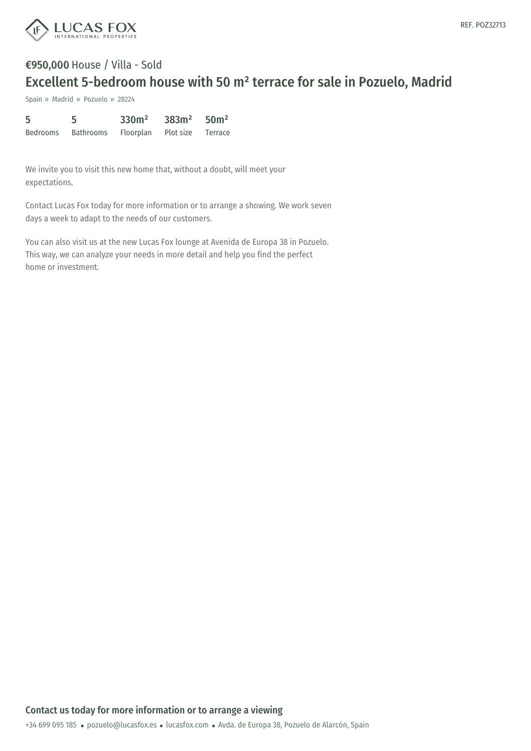

Spain » Madrid » Pozuelo » 28224

| 5        | 5         | 330 <sup>m²</sup> | 383m <sup>2</sup> | 50 <sup>m²</sup> |
|----------|-----------|-------------------|-------------------|------------------|
| Bedrooms | Bathrooms | Floorplan         | Plot size         | Terrace          |

We invite you to visit this new home that, without a doubt, will meet your expectations.

Contact Lucas Fox today for more information or to arrange a showing. We work seven days a week to adapt to the needs of our customers.

You can also visit us at the new Lucas Fox lounge at Avenida de Europa 38 in Pozuelo. This way, we can analyze your needs in more detail and help you find the perfect home or investment.